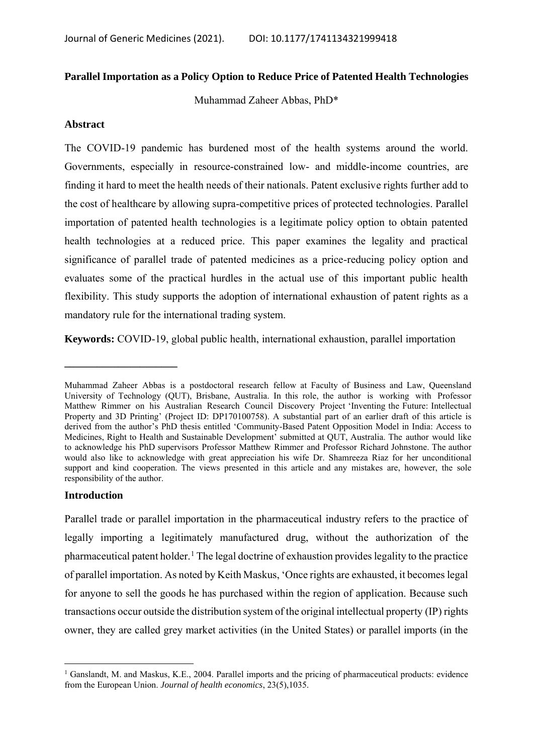# **Parallel Importation as a Policy Option to Reduce Price of Patented Health Technologies**

Muhammad Zaheer Abbas, PhD\*

## **Abstract**

The COVID-19 pandemic has burdened most of the health systems around the world. Governments, especially in resource-constrained low- and middle-income countries, are finding it hard to meet the health needs of their nationals. Patent exclusive rights further add to the cost of healthcare by allowing supra-competitive prices of protected technologies. Parallel importation of patented health technologies is a legitimate policy option to obtain patented health technologies at a reduced price. This paper examines the legality and practical significance of parallel trade of patented medicines as a price-reducing policy option and evaluates some of the practical hurdles in the actual use of this important public health flexibility. This study supports the adoption of international exhaustion of patent rights as a mandatory rule for the international trading system.

**Keywords:** COVID-19, global public health, international exhaustion, parallel importation

## **Introduction**

**\_\_\_\_\_\_\_\_\_\_\_\_\_\_\_\_\_\_\_\_\_** 

Parallel trade or parallel importation in the pharmaceutical industry refers to the practice of legally importing a legitimately manufactured drug, without the authorization of the pharmaceutical patent holder.<sup>1</sup> The legal doctrine of exhaustion provides legality to the practice of parallel importation. As noted by Keith Maskus, 'Once rights are exhausted, it becomes legal for anyone to sell the goods he has purchased within the region of application. Because such transactions occur outside the distribution system of the original intellectual property (IP) rights owner, they are called grey market activities (in the United States) or parallel imports (in the

Muhammad Zaheer Abbas is a postdoctoral research fellow at Faculty of Business and Law, Queensland University of Technology (QUT), Brisbane, Australia. In this role, the author is working with Professor Matthew Rimmer on his Australian Research Council Discovery Project 'Inventing the Future: Intellectual Property and 3D Printing' (Project ID: DP170100758). A substantial part of an earlier draft of this article is derived from the author's PhD thesis entitled 'Community-Based Patent Opposition Model in India: Access to Medicines, Right to Health and Sustainable Development' submitted at QUT, Australia. The author would like to acknowledge his PhD supervisors Professor Matthew Rimmer and Professor Richard Johnstone. The author would also like to acknowledge with great appreciation his wife Dr. Shamreeza Riaz for her unconditional support and kind cooperation. The views presented in this article and any mistakes are, however, the sole responsibility of the author.

<sup>&</sup>lt;sup>1</sup> Ganslandt, M. and Maskus, K.E., 2004. Parallel imports and the pricing of pharmaceutical products: evidence from the European Union. *Journal of health economics*, 23(5),1035.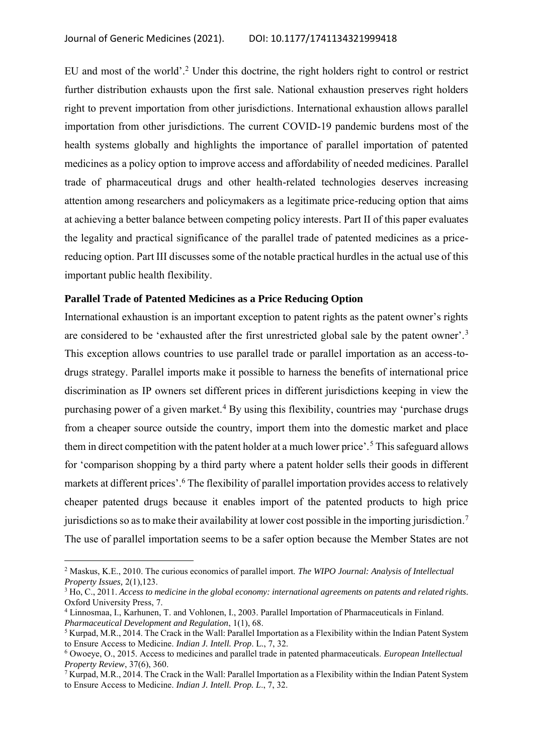EU and most of the world'.<sup>2</sup> Under this doctrine, the right holders right to control or restrict further distribution exhausts upon the first sale. National exhaustion preserves right holders right to prevent importation from other jurisdictions. International exhaustion allows parallel importation from other jurisdictions. The current COVID-19 pandemic burdens most of the health systems globally and highlights the importance of parallel importation of patented medicines as a policy option to improve access and affordability of needed medicines. Parallel trade of pharmaceutical drugs and other health-related technologies deserves increasing attention among researchers and policymakers as a legitimate price-reducing option that aims at achieving a better balance between competing policy interests. Part II of this paper evaluates the legality and practical significance of the parallel trade of patented medicines as a pricereducing option. Part III discusses some of the notable practical hurdles in the actual use of this important public health flexibility.

## **Parallel Trade of Patented Medicines as a Price Reducing Option**

International exhaustion is an important exception to patent rights as the patent owner's rights are considered to be 'exhausted after the first unrestricted global sale by the patent owner'.<sup>3</sup> This exception allows countries to use parallel trade or parallel importation as an access-todrugs strategy. Parallel imports make it possible to harness the benefits of international price discrimination as IP owners set different prices in different jurisdictions keeping in view the purchasing power of a given market.<sup>4</sup> By using this flexibility, countries may 'purchase drugs from a cheaper source outside the country, import them into the domestic market and place them in direct competition with the patent holder at a much lower price'.<sup>5</sup> This safeguard allows for 'comparison shopping by a third party where a patent holder sells their goods in different markets at different prices'.<sup>6</sup> The flexibility of parallel importation provides access to relatively cheaper patented drugs because it enables import of the patented products to high price jurisdictions so as to make their availability at lower cost possible in the importing jurisdiction.<sup>7</sup> The use of parallel importation seems to be a safer option because the Member States are not

<sup>2</sup> Maskus, K.E., 2010. The curious economics of parallel import. *The WIPO Journal: Analysis of Intellectual Property Issues,* 2(1),123.

<sup>3</sup> Ho, C., 2011. *Access to medicine in the global economy: international agreements on patents and related rights.* Oxford University Press, 7.

<sup>4</sup> Linnosmaa, I., Karhunen, T. and Vohlonen, I., 2003. Parallel Importation of Pharmaceuticals in Finland. *Pharmaceutical Development and Regulation*, 1(1), 68.

 $5$  Kurpad, M.R., 2014. The Crack in the Wall: Parallel Importation as a Flexibility within the Indian Patent System to Ensure Access to Medicine. *Indian J. Intell. Prop*. L., 7, 32.

<sup>6</sup> Owoeye, O., 2015. Access to medicines and parallel trade in patented pharmaceuticals. *European Intellectual Property Review*, 37(6), 360.

<sup>&</sup>lt;sup>7</sup> Kurpad, M.R., 2014. The Crack in the Wall: Parallel Importation as a Flexibility within the Indian Patent System to Ensure Access to Medicine. *Indian J. Intell. Prop. L*., 7, 32.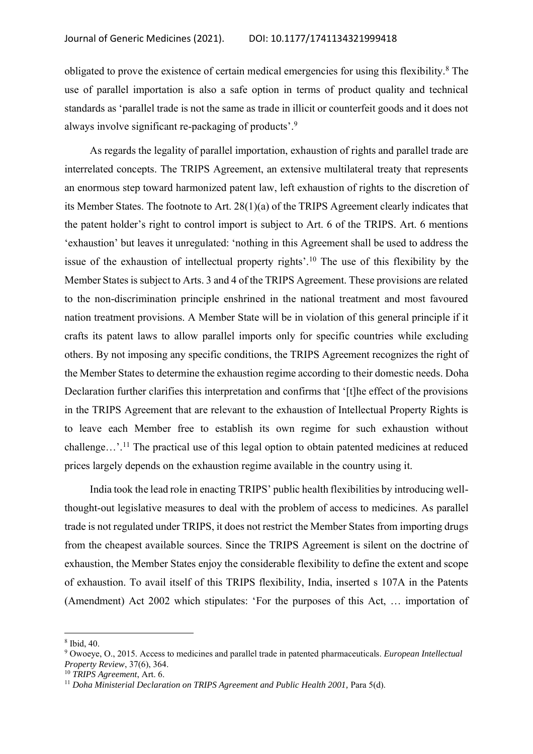obligated to prove the existence of certain medical emergencies for using this flexibility.<sup>8</sup> The use of parallel importation is also a safe option in terms of product quality and technical standards as 'parallel trade is not the same as trade in illicit or counterfeit goods and it does not always involve significant re-packaging of products'.<sup>9</sup>

As regards the legality of parallel importation, exhaustion of rights and parallel trade are interrelated concepts. The TRIPS Agreement, an extensive multilateral treaty that represents an enormous step toward harmonized patent law, left exhaustion of rights to the discretion of its Member States. The footnote to Art. 28(1)(a) of the TRIPS Agreement clearly indicates that the patent holder's right to control import is subject to Art. 6 of the TRIPS. Art. 6 mentions 'exhaustion' but leaves it unregulated: 'nothing in this Agreement shall be used to address the issue of the exhaustion of intellectual property rights'.<sup>10</sup> The use of this flexibility by the Member States is subject to Arts. 3 and 4 of the TRIPS Agreement. These provisions are related to the non-discrimination principle enshrined in the national treatment and most favoured nation treatment provisions. A Member State will be in violation of this general principle if it crafts its patent laws to allow parallel imports only for specific countries while excluding others. By not imposing any specific conditions, the TRIPS Agreement recognizes the right of the Member States to determine the exhaustion regime according to their domestic needs. Doha Declaration further clarifies this interpretation and confirms that '[t]he effect of the provisions in the TRIPS Agreement that are relevant to the exhaustion of Intellectual Property Rights is to leave each Member free to establish its own regime for such exhaustion without challenge…'.<sup>11</sup> The practical use of this legal option to obtain patented medicines at reduced prices largely depends on the exhaustion regime available in the country using it.

India took the lead role in enacting TRIPS' public health flexibilities by introducing wellthought-out legislative measures to deal with the problem of access to medicines. As parallel trade is not regulated under TRIPS, it does not restrict the Member States from importing drugs from the cheapest available sources. Since the TRIPS Agreement is silent on the doctrine of exhaustion, the Member States enjoy the considerable flexibility to define the extent and scope of exhaustion. To avail itself of this TRIPS flexibility, India, inserted s 107A in the Patents (Amendment) Act 2002 which stipulates: 'For the purposes of this Act, … importation of

<sup>8</sup> Ibid, 40.

<sup>9</sup> Owoeye, O., 2015. Access to medicines and parallel trade in patented pharmaceuticals. *European Intellectual Property Review*, 37(6), 364.

<sup>10</sup> *TRIPS Agreement*, Art. 6.

<sup>&</sup>lt;sup>11</sup> *Doha Ministerial Declaration on TRIPS Agreement and Public Health 2001*, Para 5(d).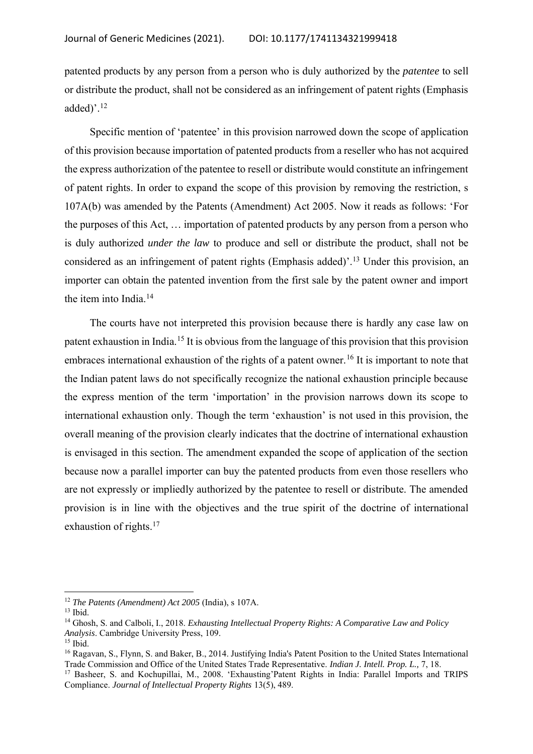patented products by any person from a person who is duly authorized by the *patentee* to sell or distribute the product, shall not be considered as an infringement of patent rights (Emphasis added)'.<sup>12</sup>

Specific mention of 'patentee' in this provision narrowed down the scope of application of this provision because importation of patented products from a reseller who has not acquired the express authorization of the patentee to resell or distribute would constitute an infringement of patent rights. In order to expand the scope of this provision by removing the restriction, s 107A(b) was amended by the Patents (Amendment) Act 2005. Now it reads as follows: 'For the purposes of this Act, … importation of patented products by any person from a person who is duly authorized *under the law* to produce and sell or distribute the product, shall not be considered as an infringement of patent rights (Emphasis added)'.<sup>13</sup> Under this provision, an importer can obtain the patented invention from the first sale by the patent owner and import the item into India.<sup>14</sup>

The courts have not interpreted this provision because there is hardly any case law on patent exhaustion in India.<sup>15</sup> It is obvious from the language of this provision that this provision embraces international exhaustion of the rights of a patent owner.<sup>16</sup> It is important to note that the Indian patent laws do not specifically recognize the national exhaustion principle because the express mention of the term 'importation' in the provision narrows down its scope to international exhaustion only. Though the term 'exhaustion' is not used in this provision, the overall meaning of the provision clearly indicates that the doctrine of international exhaustion is envisaged in this section. The amendment expanded the scope of application of the section because now a parallel importer can buy the patented products from even those resellers who are not expressly or impliedly authorized by the patentee to resell or distribute. The amended provision is in line with the objectives and the true spirit of the doctrine of international exhaustion of rights.<sup>17</sup>

<sup>12</sup> *The Patents (Amendment) Act 2005* (India), s 107A.

<sup>13</sup> Ibid.

<sup>14</sup> Ghosh, S. and Calboli, I., 2018. *Exhausting Intellectual Property Rights: A Comparative Law and Policy Analysis*. Cambridge University Press, 109.

 $15$  Ibid.

<sup>&</sup>lt;sup>16</sup> Ragavan, S., Flynn, S. and Baker, B., 2014. Justifying India's Patent Position to the United States International Trade Commission and Office of the United States Trade Representative. *Indian J. Intell. Prop. L.,* 7, 18.

<sup>&</sup>lt;sup>17</sup> Basheer, S. and Kochupillai, M., 2008. 'Exhausting'Patent Rights in India: Parallel Imports and TRIPS Compliance. *Journal of Intellectual Property Rights* 13(5), 489.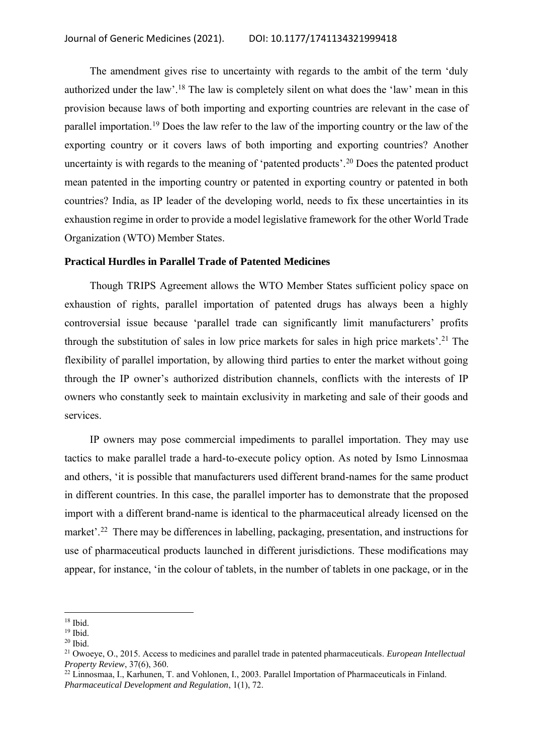The amendment gives rise to uncertainty with regards to the ambit of the term 'duly authorized under the law'.<sup>18</sup> The law is completely silent on what does the 'law' mean in this provision because laws of both importing and exporting countries are relevant in the case of parallel importation.<sup>19</sup> Does the law refer to the law of the importing country or the law of the exporting country or it covers laws of both importing and exporting countries? Another uncertainty is with regards to the meaning of 'patented products'.<sup>20</sup> Does the patented product mean patented in the importing country or patented in exporting country or patented in both countries? India, as IP leader of the developing world, needs to fix these uncertainties in its exhaustion regime in order to provide a model legislative framework for the other World Trade Organization (WTO) Member States.

## **Practical Hurdles in Parallel Trade of Patented Medicines**

Though TRIPS Agreement allows the WTO Member States sufficient policy space on exhaustion of rights, parallel importation of patented drugs has always been a highly controversial issue because 'parallel trade can significantly limit manufacturers' profits through the substitution of sales in low price markets for sales in high price markets'. <sup>21</sup> The flexibility of parallel importation, by allowing third parties to enter the market without going through the IP owner's authorized distribution channels, conflicts with the interests of IP owners who constantly seek to maintain exclusivity in marketing and sale of their goods and services.

IP owners may pose commercial impediments to parallel importation. They may use tactics to make parallel trade a hard-to-execute policy option. As noted by Ismo Linnosmaa and others, 'it is possible that manufacturers used different brand-names for the same product in different countries. In this case, the parallel importer has to demonstrate that the proposed import with a different brand-name is identical to the pharmaceutical already licensed on the market'.<sup>22</sup> There may be differences in labelling, packaging, presentation, and instructions for use of pharmaceutical products launched in different jurisdictions. These modifications may appear, for instance, 'in the colour of tablets, in the number of tablets in one package, or in the

<sup>18</sup> Ibid.

<sup>19</sup> Ibid.

 $20$  Ibid.

<sup>21</sup> Owoeye, O., 2015. Access to medicines and parallel trade in patented pharmaceuticals. *European Intellectual Property Review*, 37(6), 360.

<sup>&</sup>lt;sup>22</sup> Linnosmaa, I., Karhunen, T. and Vohlonen, I., 2003. Parallel Importation of Pharmaceuticals in Finland. *Pharmaceutical Development and Regulation*, 1(1), 72.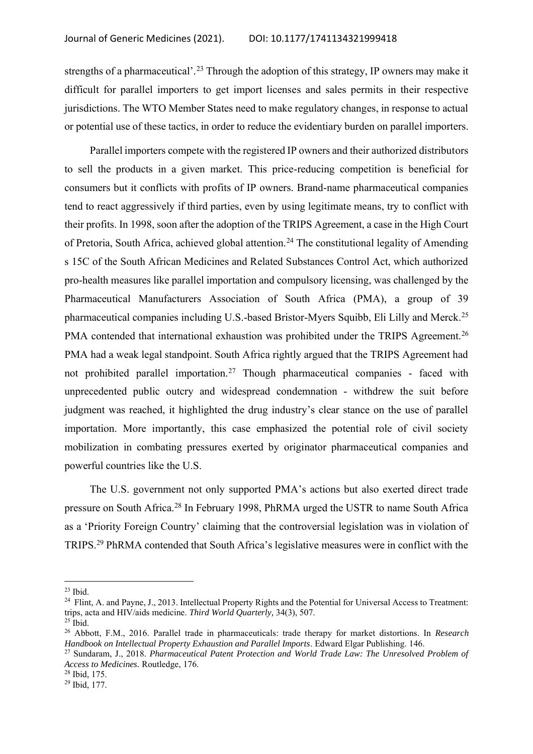strengths of a pharmaceutical'.<sup>23</sup> Through the adoption of this strategy, IP owners may make it difficult for parallel importers to get import licenses and sales permits in their respective jurisdictions. The WTO Member States need to make regulatory changes, in response to actual or potential use of these tactics, in order to reduce the evidentiary burden on parallel importers.

Parallel importers compete with the registered IP owners and their authorized distributors to sell the products in a given market. This price-reducing competition is beneficial for consumers but it conflicts with profits of IP owners. Brand-name pharmaceutical companies tend to react aggressively if third parties, even by using legitimate means, try to conflict with their profits. In 1998, soon after the adoption of the TRIPS Agreement, a case in the High Court of Pretoria, South Africa, achieved global attention.<sup>24</sup> The constitutional legality of Amending s 15C of the South African Medicines and Related Substances Control Act, which authorized pro-health measures like parallel importation and compulsory licensing, was challenged by the Pharmaceutical Manufacturers Association of South Africa (PMA), a group of 39 pharmaceutical companies including U.S.-based Bristor-Myers Squibb, Eli Lilly and Merck.<sup>25</sup> PMA contended that international exhaustion was prohibited under the TRIPS Agreement.<sup>26</sup> PMA had a weak legal standpoint. South Africa rightly argued that the TRIPS Agreement had not prohibited parallel importation.<sup>27</sup> Though pharmaceutical companies - faced with unprecedented public outcry and widespread condemnation - withdrew the suit before judgment was reached, it highlighted the drug industry's clear stance on the use of parallel importation. More importantly, this case emphasized the potential role of civil society mobilization in combating pressures exerted by originator pharmaceutical companies and powerful countries like the U.S.

The U.S. government not only supported PMA's actions but also exerted direct trade pressure on South Africa.<sup>28</sup> In February 1998, PhRMA urged the USTR to name South Africa as a 'Priority Foreign Country' claiming that the controversial legislation was in violation of TRIPS.<sup>29</sup> PhRMA contended that South Africa's legislative measures were in conflict with the

 $23$  Ibid.

<sup>&</sup>lt;sup>24</sup> Flint, A. and Payne, J., 2013. Intellectual Property Rights and the Potential for Universal Access to Treatment: trips, acta and HIV/aids medicine. *Third World Quarterly,* 34(3), 507.

 $25$  Ibid.

<sup>26</sup> Abbott, F.M., 2016. Parallel trade in pharmaceuticals: trade therapy for market distortions. In *Research Handbook on Intellectual Property Exhaustion and Parallel Imports*. Edward Elgar Publishing. 146.

<sup>27</sup> Sundaram, J., 2018. *Pharmaceutical Patent Protection and World Trade Law: The Unresolved Problem of Access to Medicines.* Routledge, 176.

<sup>28</sup> Ibid, 175.

<sup>29</sup> Ibid, 177.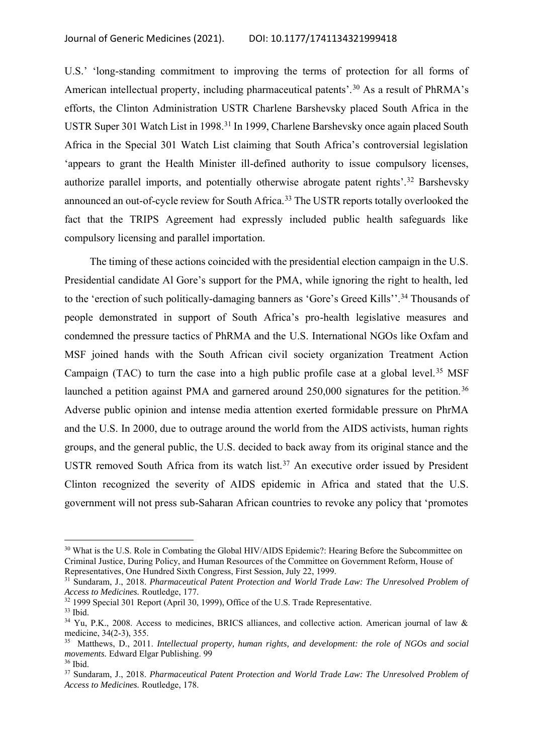U.S.' 'long-standing commitment to improving the terms of protection for all forms of American intellectual property, including pharmaceutical patents'.<sup>30</sup> As a result of PhRMA's efforts, the Clinton Administration USTR Charlene Barshevsky placed South Africa in the USTR Super 301 Watch List in 1998.<sup>31</sup> In 1999, Charlene Barshevsky once again placed South Africa in the Special 301 Watch List claiming that South Africa's controversial legislation 'appears to grant the Health Minister ill-defined authority to issue compulsory licenses, authorize parallel imports, and potentially otherwise abrogate patent rights'.<sup>32</sup> Barshevsky announced an out-of-cycle review for South Africa.<sup>33</sup> The USTR reports totally overlooked the fact that the TRIPS Agreement had expressly included public health safeguards like compulsory licensing and parallel importation.

The timing of these actions coincided with the presidential election campaign in the U.S. Presidential candidate Al Gore's support for the PMA, while ignoring the right to health, led to the 'erection of such politically-damaging banners as 'Gore's Greed Kills''.<sup>34</sup> Thousands of people demonstrated in support of South Africa's pro-health legislative measures and condemned the pressure tactics of PhRMA and the U.S. International NGOs like Oxfam and MSF joined hands with the South African civil society organization Treatment Action Campaign (TAC) to turn the case into a high public profile case at a global level.<sup>35</sup> MSF launched a petition against PMA and garnered around 250,000 signatures for the petition.<sup>36</sup> Adverse public opinion and intense media attention exerted formidable pressure on PhrMA and the U.S. In 2000, due to outrage around the world from the AIDS activists, human rights groups, and the general public, the U.S. decided to back away from its original stance and the USTR removed South Africa from its watch list.<sup>37</sup> An executive order issued by President Clinton recognized the severity of AIDS epidemic in Africa and stated that the U.S. government will not press sub-Saharan African countries to revoke any policy that 'promotes

<sup>&</sup>lt;sup>30</sup> What is the U.S. Role in Combating the Global HIV/AIDS Epidemic?: Hearing Before the Subcommittee on Criminal Justice, During Policy, and Human Resources of the Committee on Government Reform, House of Representatives, One Hundred Sixth Congress, First Session, July 22, 1999.

<sup>31</sup> Sundaram, J., 2018. *Pharmaceutical Patent Protection and World Trade Law: The Unresolved Problem of Access to Medicines.* Routledge, 177.

<sup>&</sup>lt;sup>32</sup> 1999 Special 301 Report (April 30, 1999), Office of the U.S. Trade Representative.

<sup>33</sup> Ibid.

<sup>&</sup>lt;sup>34</sup> Yu, P.K., 2008. Access to medicines, BRICS alliances, and collective action. American journal of law & medicine, 34(2-3), 355.

<sup>35</sup> Matthews, D., 2011. *Intellectual property, human rights, and development: the role of NGOs and social movements.* Edward Elgar Publishing. 99

<sup>36</sup> Ibid.

<sup>37</sup> Sundaram, J., 2018. *Pharmaceutical Patent Protection and World Trade Law: The Unresolved Problem of Access to Medicines.* Routledge, 178.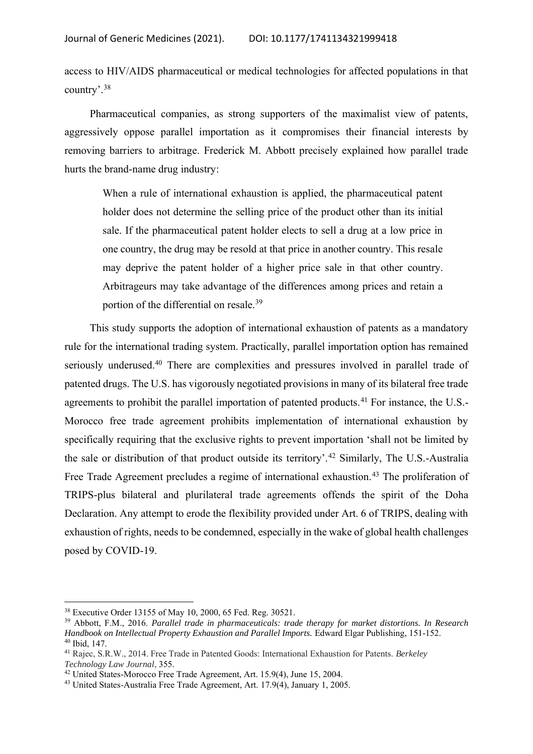access to HIV/AIDS pharmaceutical or medical technologies for affected populations in that country'.<sup>38</sup>

Pharmaceutical companies, as strong supporters of the maximalist view of patents, aggressively oppose parallel importation as it compromises their financial interests by removing barriers to arbitrage. Frederick M. Abbott precisely explained how parallel trade hurts the brand-name drug industry:

When a rule of international exhaustion is applied, the pharmaceutical patent holder does not determine the selling price of the product other than its initial sale. If the pharmaceutical patent holder elects to sell a drug at a low price in one country, the drug may be resold at that price in another country. This resale may deprive the patent holder of a higher price sale in that other country. Arbitrageurs may take advantage of the differences among prices and retain a portion of the differential on resale.<sup>39</sup>

This study supports the adoption of international exhaustion of patents as a mandatory rule for the international trading system. Practically, parallel importation option has remained seriously underused.<sup>40</sup> There are complexities and pressures involved in parallel trade of patented drugs. The U.S. has vigorously negotiated provisions in many of its bilateral free trade agreements to prohibit the parallel importation of patented products.<sup>41</sup> For instance, the U.S.-Morocco free trade agreement prohibits implementation of international exhaustion by specifically requiring that the exclusive rights to prevent importation 'shall not be limited by the sale or distribution of that product outside its territory'.<sup>42</sup> Similarly, The U.S.-Australia Free Trade Agreement precludes a regime of international exhaustion.<sup>43</sup> The proliferation of TRIPS-plus bilateral and plurilateral trade agreements offends the spirit of the Doha Declaration. Any attempt to erode the flexibility provided under Art. 6 of TRIPS, dealing with exhaustion of rights, needs to be condemned, especially in the wake of global health challenges posed by COVID-19.

<sup>38</sup> Executive Order 13155 of May 10, 2000, 65 Fed. Reg. 30521.

<sup>39</sup> Abbott, F.M., 2016. *Parallel trade in pharmaceuticals: trade therapy for market distortions. In Research Handbook on Intellectual Property Exhaustion and Parallel Imports.* Edward Elgar Publishing, 151-152. <sup>40</sup> Ibid, 147.

<sup>41</sup> Rajec, S.R.W., 2014. Free Trade in Patented Goods: International Exhaustion for Patents. *Berkeley Technology Law Journal*, 355.

<sup>42</sup> United States-Morocco Free Trade Agreement, Art. 15.9(4), June 15, 2004.

<sup>43</sup> United States-Australia Free Trade Agreement, Art. 17.9(4), January 1, 2005.